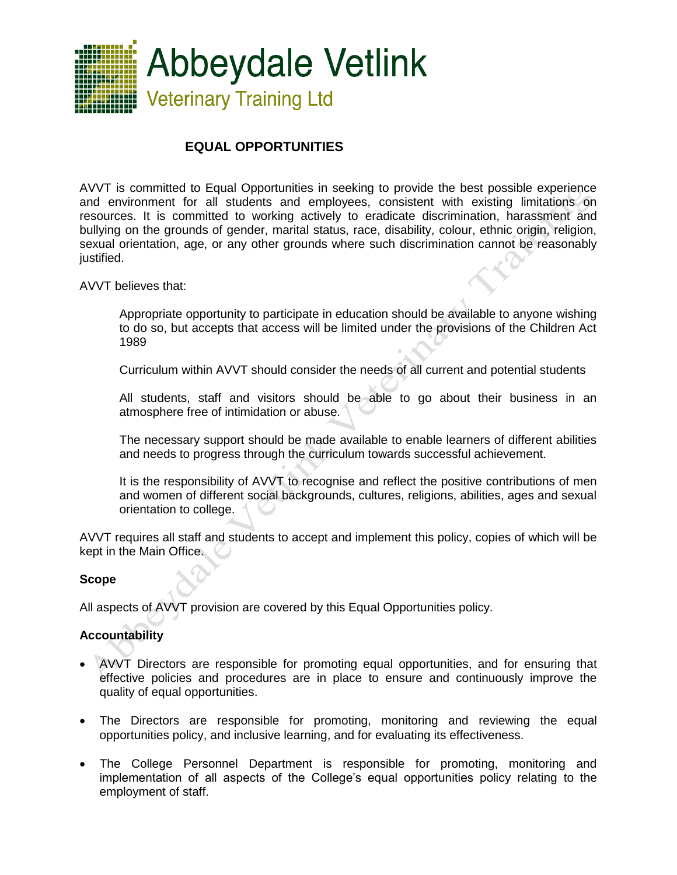

# **EQUAL OPPORTUNITIES**

AVVT is committed to Equal Opportunities in seeking to provide the best possible experience and environment for all students and employees, consistent with existing limitations on resources. It is committed to working actively to eradicate discrimination, harassment and bullying on the grounds of gender, marital status, race, disability, colour, ethnic origin, religion, sexual orientation, age, or any other grounds where such discrimination cannot be reasonably justified.

AVVT believes that:

Appropriate opportunity to participate in education should be available to anyone wishing to do so, but accepts that access will be limited under the provisions of the Children Act 1989

Curriculum within AVVT should consider the needs of all current and potential students

All students, staff and visitors should be able to go about their business in an atmosphere free of intimidation or abuse.

The necessary support should be made available to enable learners of different abilities and needs to progress through the curriculum towards successful achievement.

It is the responsibility of AVVT to recognise and reflect the positive contributions of men and women of different social backgrounds, cultures, religions, abilities, ages and sexual orientation to college.

AVVT requires all staff and students to accept and implement this policy, copies of which will be kept in the Main Office.

#### **Scope**

All aspects of AVVT provision are covered by this Equal Opportunities policy.

### **Accountability**

- AVVT Directors are responsible for promoting equal opportunities, and for ensuring that effective policies and procedures are in place to ensure and continuously improve the quality of equal opportunities.
- The Directors are responsible for promoting, monitoring and reviewing the equal opportunities policy, and inclusive learning, and for evaluating its effectiveness.
- The College Personnel Department is responsible for promoting, monitoring and implementation of all aspects of the College's equal opportunities policy relating to the employment of staff.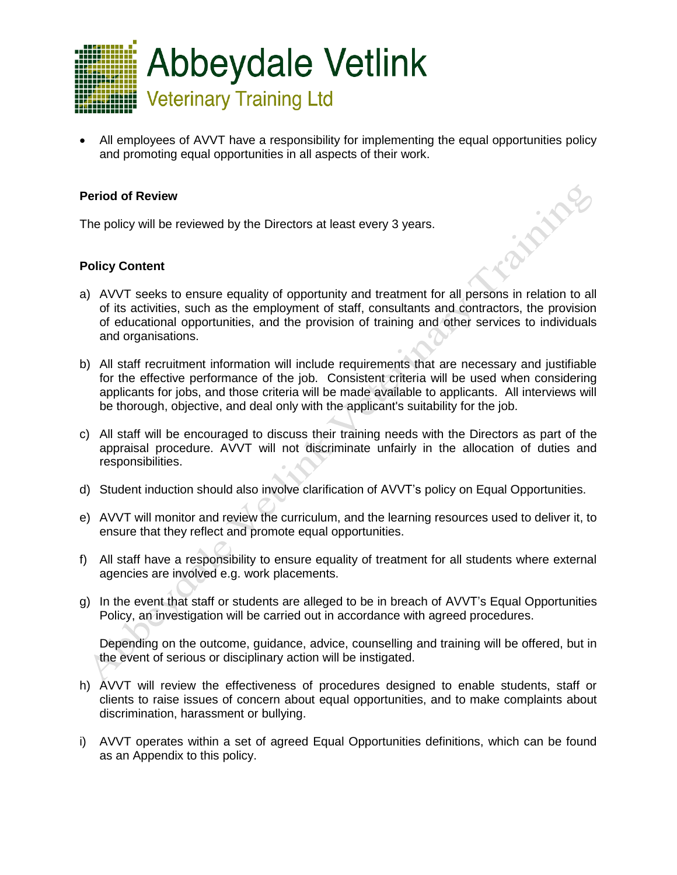

 All employees of AVVT have a responsibility for implementing the equal opportunities policy and promoting equal opportunities in all aspects of their work.

**California** 

#### **Period of Review**

The policy will be reviewed by the Directors at least every 3 years.

### **Policy Content**

- a) AVVT seeks to ensure equality of opportunity and treatment for all persons in relation to all of its activities, such as the employment of staff, consultants and contractors, the provision of educational opportunities, and the provision of training and other services to individuals and organisations.
- b) All staff recruitment information will include requirements that are necessary and justifiable for the effective performance of the job. Consistent criteria will be used when considering applicants for jobs, and those criteria will be made available to applicants. All interviews will be thorough, objective, and deal only with the applicant's suitability for the job.
- c) All staff will be encouraged to discuss their training needs with the Directors as part of the appraisal procedure. AVVT will not discriminate unfairly in the allocation of duties and responsibilities.
- d) Student induction should also involve clarification of AVVT's policy on Equal Opportunities.
- e) AVVT will monitor and review the curriculum, and the learning resources used to deliver it, to ensure that they reflect and promote equal opportunities.
- f) All staff have a responsibility to ensure equality of treatment for all students where external agencies are involved e.g. work placements.
- g) In the event that staff or students are alleged to be in breach of AVVT's Equal Opportunities Policy, an investigation will be carried out in accordance with agreed procedures.

Depending on the outcome, guidance, advice, counselling and training will be offered, but in the event of serious or disciplinary action will be instigated.

- h) AVVT will review the effectiveness of procedures designed to enable students, staff or clients to raise issues of concern about equal opportunities, and to make complaints about discrimination, harassment or bullying.
- i) AVVT operates within a set of agreed Equal Opportunities definitions, which can be found as an Appendix to this policy.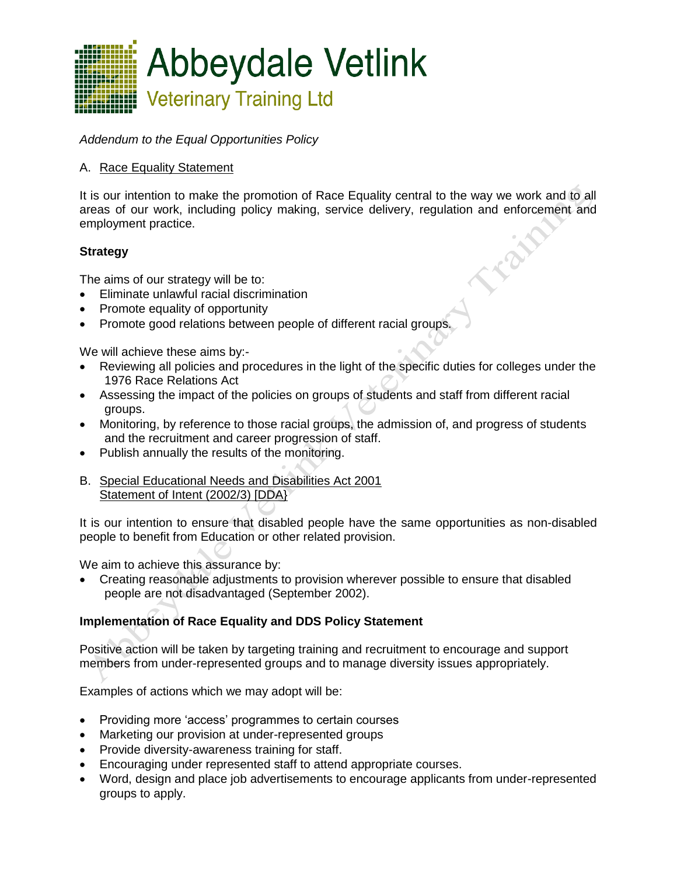

*Addendum to the Equal Opportunities Policy*

# A. Race Equality Statement

It is our intention to make the promotion of Race Equality central to the way we work and to all areas of our work, including policy making, service delivery, regulation and enforcement and employment practice.

# **Strategy**

The aims of our strategy will be to:

- Eliminate unlawful racial discrimination
- Promote equality of opportunity
- Promote good relations between people of different racial groups.

We will achieve these aims by:-

- Reviewing all policies and procedures in the light of the specific duties for colleges under the 1976 Race Relations Act
- Assessing the impact of the policies on groups of students and staff from different racial groups.
- Monitoring, by reference to those racial groups, the admission of, and progress of students and the recruitment and career progression of staff.
- Publish annually the results of the monitoring.
- B. Special Educational Needs and Disabilities Act 2001 Statement of Intent (2002/3) [DDA}

It is our intention to ensure that disabled people have the same opportunities as non-disabled people to benefit from Education or other related provision.

We aim to achieve this assurance by:

 Creating reasonable adjustments to provision wherever possible to ensure that disabled people are not disadvantaged (September 2002).

### **Implementation of Race Equality and DDS Policy Statement**

Positive action will be taken by targeting training and recruitment to encourage and support members from under-represented groups and to manage diversity issues appropriately.

Examples of actions which we may adopt will be:

- Providing more 'access' programmes to certain courses
- Marketing our provision at under-represented groups
- Provide diversity-awareness training for staff.
- Encouraging under represented staff to attend appropriate courses.
- Word, design and place job advertisements to encourage applicants from under-represented groups to apply.